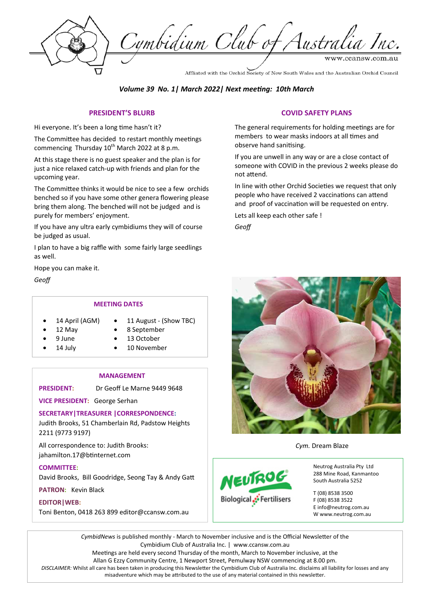*Cymbidium Club of Australia (NSW) Inc. | March 2022*  Cymbidium Club of Australia

Affliated with the Orchid Society of New South Wales and the Australian Orchid Council

### *Volume 39 No. 1| March 2022| Next meeting: 10th March*

### **PRESIDENT'S BLURB**

Hi everyone. It's been a long time hasn't it?

The Committee has decided to restart monthly meetings commencing Thursday  $10^{th}$  March 2022 at 8 p.m.

At this stage there is no guest speaker and the plan is for just a nice relaxed catch-up with friends and plan for the upcoming year.

The Committee thinks it would be nice to see a few orchids benched so if you have some other genera flowering please bring them along. The benched will not be judged and is purely for members' enjoyment.

If you have any ultra early cymbidiums they will of course be judged as usual.

I plan to have a big raffle with some fairly large seedlings as well.

Hope you can make it.

*Geoff* 

#### **MEETING DATES**

- 14 April (AGM)
- 11 August (Show TBC)
- 12 May
- 8 September
- 9 June
- 13 October
- 14 July
- 
- 10 November

#### **MANAGEMENT**

**PRESIDENT:** Dr Geoff Le Marne 9449 9648

**VICE PRESIDENT:** George Serhan

#### **SECRETARY|TREASURER |CORRESPONDENCE:**

Judith Brooks, 51 Chamberlain Rd, Padstow Heights 2211 (9773 9197)

All correspondence to: Judith Brooks: jahamilton.17@btinternet.com

#### **COMMITTEE:**

David Brooks, Bill Goodridge, Seong Tay & Andy Gatt

**PATRON:** Kevin Black

#### **EDITOR|WEB:**

Toni Benton, 0418 263 899 editor@ccansw.com.au

#### **COVID SAFETY PLANS**

The general requirements for holding meetings are for members to wear masks indoors at all times and observe hand sanitising.

If you are unwell in any way or are a close contact of someone with COVID in the previous 2 weeks please do not attend.

In line with other Orchid Societies we request that only people who have received 2 vaccinations can attend and proof of vaccination will be requested on entry.

Lets all keep each other safe !

*Geoff* 



#### *Cym.* Dream Blaze



Neutrog Australia Pty Ltd 288 Mine Road, Kanmantoo South Australia 5252

T (08) 8538 3500 F (08) 8538 3522 E info@neutrog.com.au W www.neutrog.com.au

CymbidNews is published monthly - March to November inclusive and is the Official Newsletter of the Cymbidium Club of Australia Inc. | www.ccansw.com.au Meetings are held every second Thursday of the month, March to November inclusive, at the Allan G Ezzy Community Centre, 1 Newport Street, Pemulway NSW commencing at 8.00 pm. DISCLAIMER: Whilst all care has been taken in producing this Newsletter the Cymbidium Club of Australia Inc. disclaims all liability for losses and any misadventure which may be attributed to the use of any material contained in this newsletter.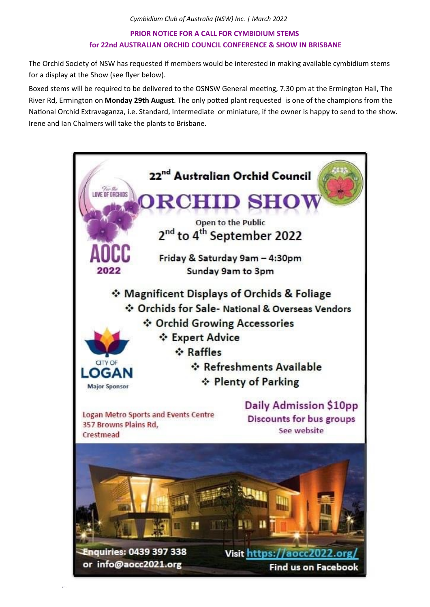# **PRIOR NOTICE FOR A CALL FOR CYMBIDIUM STEMS for 22nd AUSTRALIAN ORCHID COUNCIL CONFERENCE & SHOW IN BRISBANE**

The Orchid Society of NSW has requested if members would be interested in making available cymbidium stems for a display at the Show (see flyer below).

Boxed stems will be required to be delivered to the OSNSW General meeting, 7.30 pm at the Ermington Hall, The River Rd, Ermington on Monday 29th August. The only potted plant requested is one of the champions from the National Orchid Extravaganza, i.e. Standard, Intermediate or miniature, if the owner is happy to send to the show. Irene and Ian Chalmers will take the plants to Brisbane.